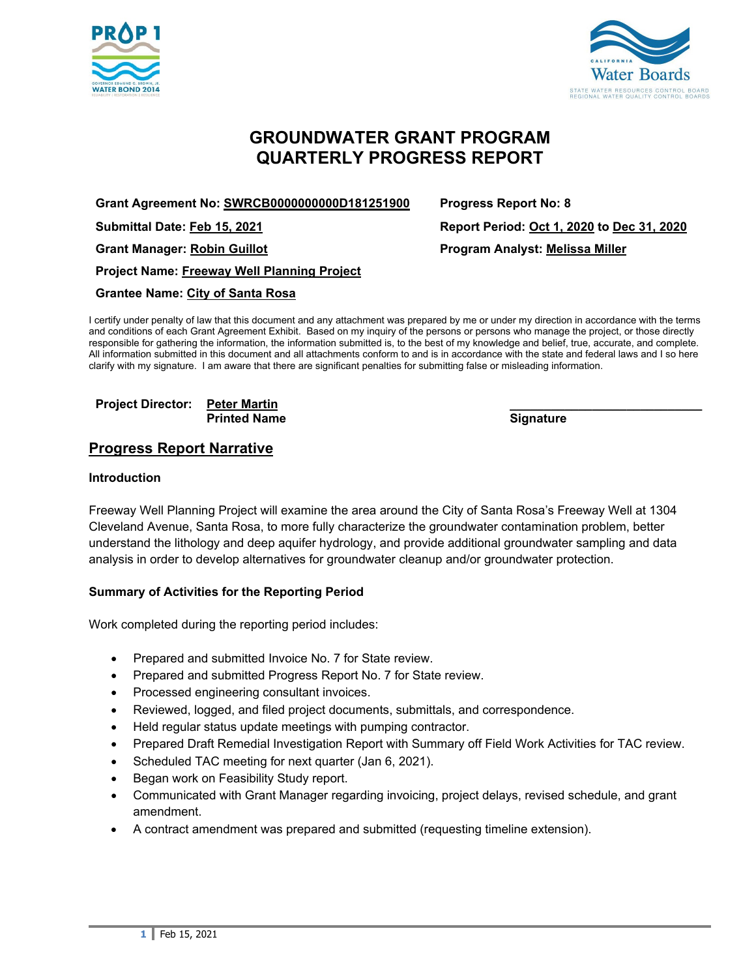



# **GROUNDWATER GRANT PROGRAM QUARTERLY PROGRESS REPORT**

**Grant Agreement No: SWRCB0000000000D181251900 Progress Report No: 8**

**Project Name: Freeway Well Planning Project**

**Grantee Name: City of Santa Rosa**

I certify under penalty of law that this document and any attachment was prepared by me or under my direction in accordance with the terms and conditions of each Grant Agreement Exhibit. Based on my inquiry of the persons or persons who manage the project, or those directly responsible for gathering the information, the information submitted is, to the best of my knowledge and belief, true, accurate, and complete. All information submitted in this document and all attachments conform to and is in accordance with the state and federal laws and I so here clarify with my signature. I am aware that there are significant penalties for submitting false or misleading information.

**Project Director: Peter Martin \_\_\_\_\_\_\_\_\_\_\_\_\_\_\_\_\_\_\_\_\_\_\_\_\_\_\_\_ Printed Name** 

**Progress Report Narrative**

#### **Introduction**

Freeway Well Planning Project will examine the area around the City of Santa Rosa's Freeway Well at 1304 Cleveland Avenue, Santa Rosa, to more fully characterize the groundwater contamination problem, better understand the lithology and deep aquifer hydrology, and provide additional groundwater sampling and data analysis in order to develop alternatives for groundwater cleanup and/or groundwater protection.

#### **Summary of Activities for the Reporting Period**

Work completed during the reporting period includes:

- Prepared and submitted Invoice No. 7 for State review.
- Prepared and submitted Progress Report No. 7 for State review.
- Processed engineering consultant invoices.
- Reviewed, logged, and filed project documents, submittals, and correspondence.
- Held regular status update meetings with pumping contractor.
- Prepared Draft Remedial Investigation Report with Summary off Field Work Activities for TAC review.
- Scheduled TAC meeting for next quarter (Jan 6, 2021).
- Began work on Feasibility Study report.
- Communicated with Grant Manager regarding invoicing, project delays, revised schedule, and grant amendment.
- A contract amendment was prepared and submitted (requesting timeline extension).

**Submittal Date: Feb 15, 2021 Report Period: Oct 1, 2020 to Dec 31, 2020 Grant Manager: Robin Guillot Program Analyst: Melissa Miller**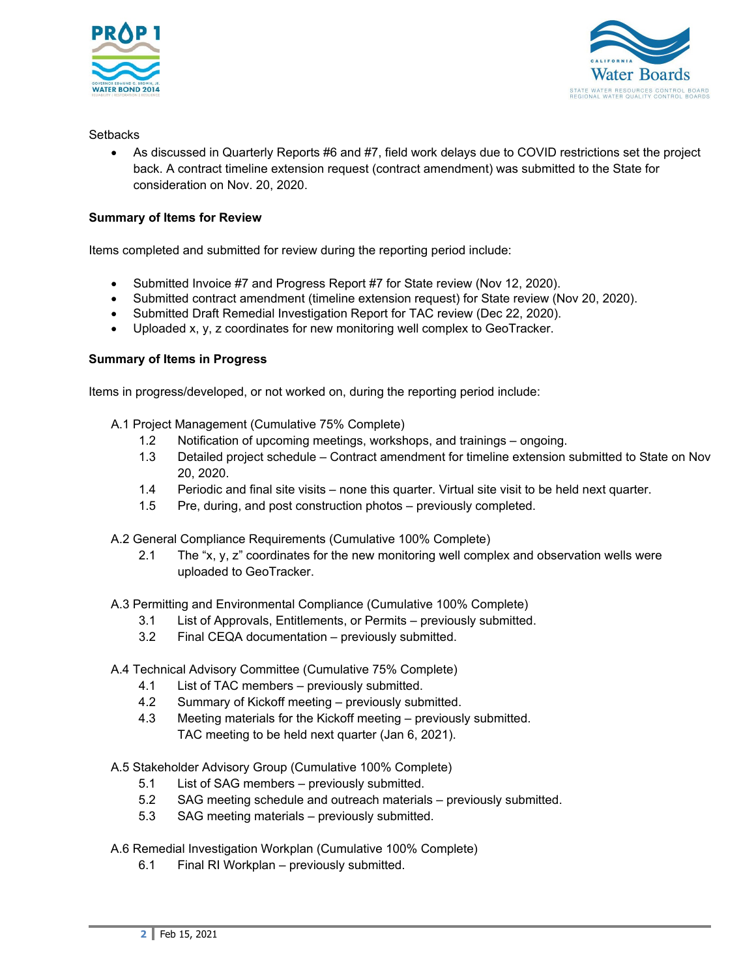



#### **Setbacks**

• As discussed in Quarterly Reports #6 and #7, field work delays due to COVID restrictions set the project back. A contract timeline extension request (contract amendment) was submitted to the State for consideration on Nov. 20, 2020.

# **Summary of Items for Review**

Items completed and submitted for review during the reporting period include:

- Submitted Invoice #7 and Progress Report #7 for State review (Nov 12, 2020).
- Submitted contract amendment (timeline extension request) for State review (Nov 20, 2020).
- Submitted Draft Remedial Investigation Report for TAC review (Dec 22, 2020).
- Uploaded x, y, z coordinates for new monitoring well complex to GeoTracker.

# **Summary of Items in Progress**

Items in progress/developed, or not worked on, during the reporting period include:

- A.1 Project Management (Cumulative 75% Complete)
	- 1.2 Notification of upcoming meetings, workshops, and trainings ongoing.
	- 1.3 Detailed project schedule Contract amendment for timeline extension submitted to State on Nov 20, 2020.
	- 1.4 Periodic and final site visits none this quarter. Virtual site visit to be held next quarter.
	- 1.5 Pre, during, and post construction photos previously completed.
- A.2 General Compliance Requirements (Cumulative 100% Complete)
	- 2.1 The "x, y, z" coordinates for the new monitoring well complex and observation wells were uploaded to GeoTracker.

A.3 Permitting and Environmental Compliance (Cumulative 100% Complete)

- 3.1 List of Approvals, Entitlements, or Permits previously submitted.
- 3.2 Final CEQA documentation previously submitted.

A.4 Technical Advisory Committee (Cumulative 75% Complete)

- 4.1 List of TAC members previously submitted.
- 4.2 Summary of Kickoff meeting previously submitted.
- 4.3 Meeting materials for the Kickoff meeting previously submitted. TAC meeting to be held next quarter (Jan 6, 2021).

A.5 Stakeholder Advisory Group (Cumulative 100% Complete)

- 5.1 List of SAG members previously submitted.
- 5.2 SAG meeting schedule and outreach materials previously submitted.
- 5.3 SAG meeting materials previously submitted.
- A.6 Remedial Investigation Workplan (Cumulative 100% Complete)
	- 6.1 Final RI Workplan previously submitted.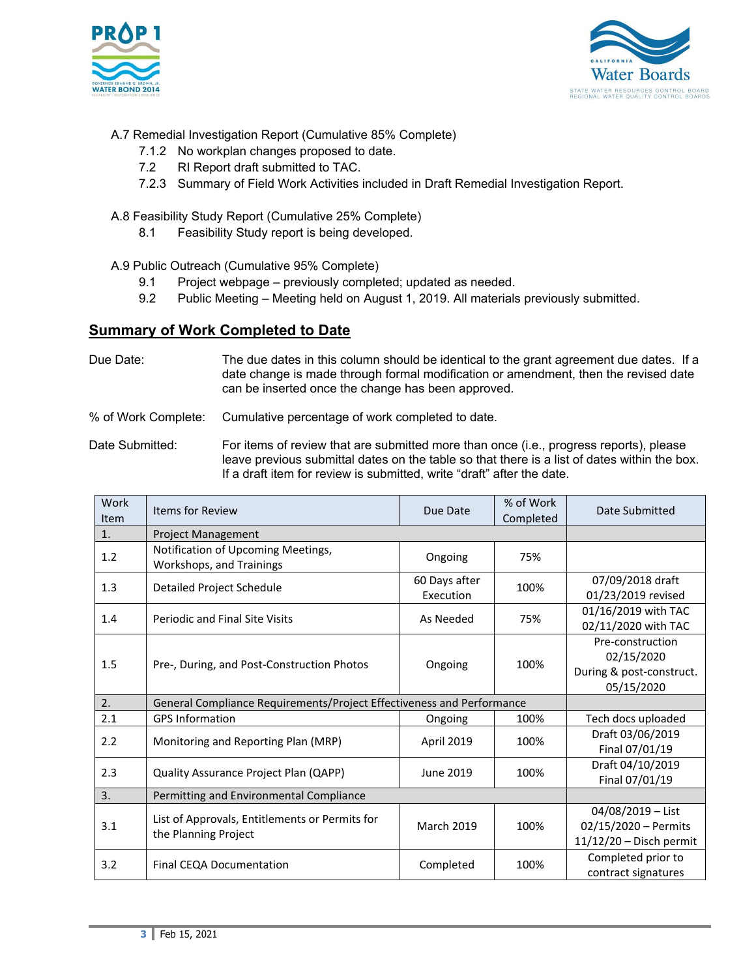



# A.7 Remedial Investigation Report (Cumulative 85% Complete)

- 7.1.2 No workplan changes proposed to date.
- 7.2 RI Report draft submitted to TAC.
- 7.2.3 Summary of Field Work Activities included in Draft Remedial Investigation Report.
- A.8 Feasibility Study Report (Cumulative 25% Complete)
	- 8.1 Feasibility Study report is being developed.
- A.9 Public Outreach (Cumulative 95% Complete)
	- 9.1 Project webpage previously completed; updated as needed.
	- 9.2 Public Meeting Meeting held on August 1, 2019. All materials previously submitted.

# **Summary of Work Completed to Date**

Due Date: The due dates in this column should be identical to the grant agreement due dates. If a date change is made through formal modification or amendment, then the revised date can be inserted once the change has been approved.

% of Work Complete: Cumulative percentage of work completed to date.

Date Submitted: For items of review that are submitted more than once (i.e., progress reports), please leave previous submittal dates on the table so that there is a list of dates within the box. If a draft item for review is submitted, write "draft" after the date.

| Work<br>Item | <b>Items for Review</b>                                                | Due Date                   | % of Work<br>Completed | Date Submitted                                                           |
|--------------|------------------------------------------------------------------------|----------------------------|------------------------|--------------------------------------------------------------------------|
| 1.           | <b>Project Management</b>                                              |                            |                        |                                                                          |
| 1.2          | Notification of Upcoming Meetings,<br>Workshops, and Trainings         | Ongoing                    | 75%                    |                                                                          |
| 1.3          | Detailed Project Schedule                                              | 60 Days after<br>Execution | 100%                   | 07/09/2018 draft<br>01/23/2019 revised                                   |
| 1.4          | <b>Periodic and Final Site Visits</b>                                  | As Needed                  | 75%                    | 01/16/2019 with TAC<br>02/11/2020 with TAC                               |
| 1.5          | Pre-, During, and Post-Construction Photos                             | Ongoing                    | 100%                   | Pre-construction<br>02/15/2020<br>During & post-construct.<br>05/15/2020 |
| 2.           | General Compliance Requirements/Project Effectiveness and Performance  |                            |                        |                                                                          |
| 2.1          | <b>GPS Information</b>                                                 | Ongoing                    | 100%                   | Tech docs uploaded                                                       |
| 2.2          | Monitoring and Reporting Plan (MRP)                                    | April 2019                 | 100%                   | Draft 03/06/2019<br>Final 07/01/19                                       |
| 2.3          | Quality Assurance Project Plan (QAPP)                                  | June 2019                  | 100%                   | Draft 04/10/2019<br>Final 07/01/19                                       |
| 3.           | Permitting and Environmental Compliance                                |                            |                        |                                                                          |
| 3.1          | List of Approvals, Entitlements or Permits for<br>the Planning Project | <b>March 2019</b>          | 100%                   | 04/08/2019 - List<br>02/15/2020 - Permits<br>$11/12/20$ – Disch permit   |
| 3.2          | Final CEQA Documentation                                               | Completed                  | 100%                   | Completed prior to<br>contract signatures                                |